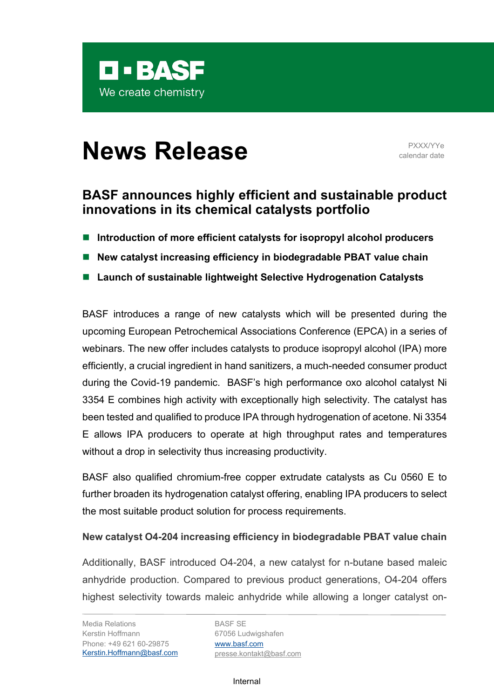

# **News Release** PXXX/YYe

calendar date

## **BASF announces highly efficient and sustainable product innovations in its chemical catalysts portfolio**

- **Introduction of more efficient catalysts for isopropyl alcohol producers**
- **New catalyst increasing efficiency in biodegradable PBAT value chain**
- Launch of sustainable lightweight Selective Hydrogenation Catalysts

BASF introduces a range of new catalysts which will be presented during the upcoming European Petrochemical Associations Conference (EPCA) in a series of webinars. The new offer includes catalysts to produce isopropyl alcohol (IPA) more efficiently, a crucial ingredient in hand sanitizers, a much-needed consumer product during the Covid-19 pandemic. BASF's high performance oxo alcohol catalyst Ni 3354 E combines high activity with exceptionally high selectivity. The catalyst has been tested and qualified to produce IPA through hydrogenation of acetone. Ni 3354 E allows IPA producers to operate at high throughput rates and temperatures without a drop in selectivity thus increasing productivity.

BASF also qualified chromium-free copper extrudate catalysts as Cu 0560 E to further broaden its hydrogenation catalyst offering, enabling IPA producers to select the most suitable product solution for process requirements.

### **New catalyst O4-204 increasing efficiency in biodegradable PBAT value chain**

Additionally, BASF introduced O4-204, a new catalyst for n-butane based maleic anhydride production. Compared to previous product generations, O4-204 offers highest selectivity towards maleic anhydride while allowing a longer catalyst on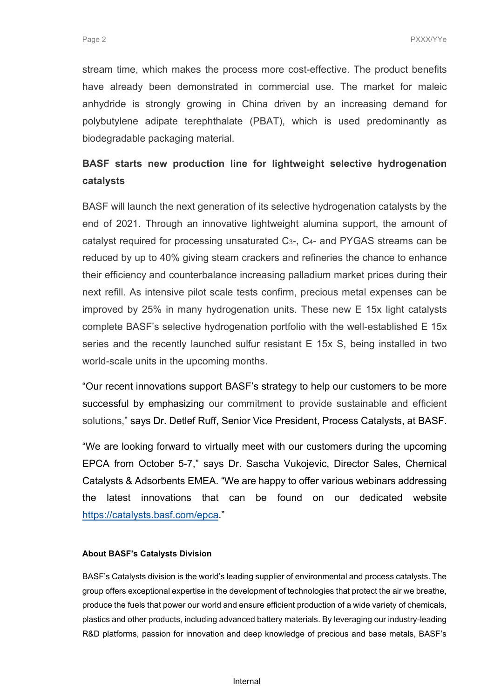stream time, which makes the process more cost-effective. The product benefits have already been demonstrated in commercial use. The market for maleic anhydride is strongly growing in China driven by an increasing demand for polybutylene adipate terephthalate (PBAT), which is used predominantly as biodegradable packaging material.

## **BASF starts new production line for lightweight selective hydrogenation catalysts**

BASF will launch the next generation of its selective hydrogenation catalysts by the end of 2021. Through an innovative lightweight alumina support, the amount of catalyst required for processing unsaturated C3-, C4- and PYGAS streams can be reduced by up to 40% giving steam crackers and refineries the chance to enhance their efficiency and counterbalance increasing palladium market prices during their next refill. As intensive pilot scale tests confirm, precious metal expenses can be improved by 25% in many hydrogenation units. These new E 15x light catalysts complete BASF's selective hydrogenation portfolio with the well-established E 15x series and the recently launched sulfur resistant E 15x S, being installed in two world-scale units in the upcoming months.

"Our recent innovations support BASF's strategy to help our customers to be more successful by emphasizing our commitment to provide sustainable and efficient solutions," says Dr. Detlef Ruff, Senior Vice President, Process Catalysts, at BASF.

"We are looking forward to virtually meet with our customers during the upcoming EPCA from October 5-7," says Dr. Sascha Vukojevic, Director Sales, Chemical Catalysts & Adsorbents EMEA. "We are happy to offer various webinars addressing the latest innovations that can be found on our dedicated website [https://catalysts.basf.com/epca.](https://catalysts.basf.com/epca)"

#### **About BASF's Catalysts Division**

BASF's Catalysts division is the world's leading supplier of environmental and process catalysts. The group offers exceptional expertise in the development of technologies that protect the air we breathe, produce the fuels that power our world and ensure efficient production of a wide variety of chemicals, plastics and other products, including advanced battery materials. By leveraging our industry-leading R&D platforms, passion for innovation and deep knowledge of precious and base metals, BASF's